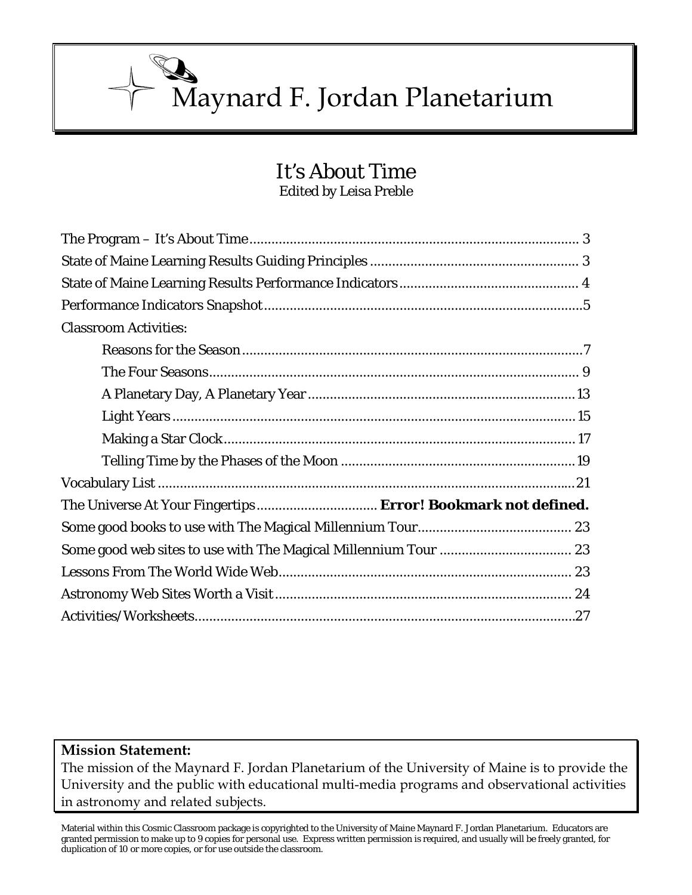Maynard F. Jordan Planetarium

# It's About Time Edited by Leisa Preble

| <b>Classroom Activities:</b>                                 |
|--------------------------------------------------------------|
|                                                              |
|                                                              |
|                                                              |
|                                                              |
|                                                              |
|                                                              |
|                                                              |
| The Universe At Your Fingertips Error! Bookmark not defined. |
|                                                              |
|                                                              |
|                                                              |
|                                                              |
|                                                              |

# **Mission Statement:**

The mission of the Maynard F. Jordan Planetarium of the University of Maine is to provide the University and the public with educational multi-media programs and observational activities in astronomy and related subjects.

Material within this Cosmic Classroom package is copyrighted to the University of Maine Maynard F. Jordan Planetarium. Educators are granted permission to make up to 9 copies for personal use. Express written permission is required, and usually will be freely granted, for duplication of 10 or more copies, or for use outside the classroom.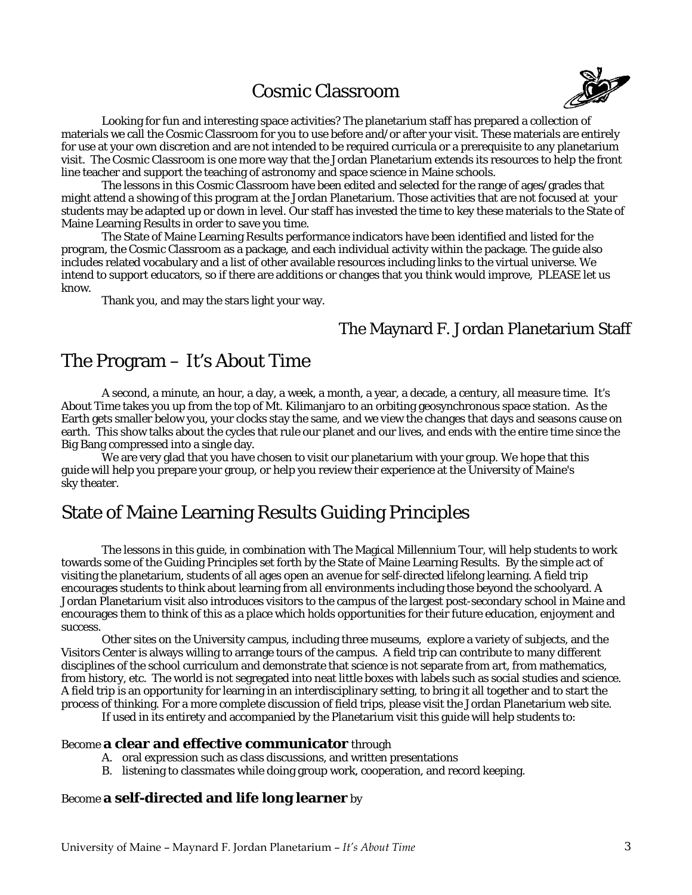# Cosmic Classroom



 Looking for fun and interesting space activities? The planetarium staff has prepared a collection of materials we call the Cosmic Classroom for you to use before and/or after your visit. These materials are entirely for use at your own discretion and are not intended to be required curricula or a prerequisite to any planetarium visit. The Cosmic Classroom is one more way that the Jordan Planetarium extends its resources to help the front line teacher and support the teaching of astronomy and space science in Maine schools.

 The lessons in this Cosmic Classroom have been edited and selected for the range of ages/grades that might attend a showing of this program at the Jordan Planetarium. Those activities that are not focused at your students may be adapted up or down in level. Our staff has invested the time to key these materials to the State of Maine Learning Results in order to save you time.

 The State of Maine Learning Results performance indicators have been identified and listed for the program, the Cosmic Classroom as a package, and each individual activity within the package. The guide also includes related vocabulary and a list of other available resources including links to the virtual universe. We intend to support educators, so if there are additions or changes that you think would improve, PLEASE let us know.

Thank you, and may the stars light your way.

## The Maynard F. Jordan Planetarium Staff

# The Program – It's About Time

 A second, a minute, an hour, a day, a week, a month, a year, a decade, a century, all measure time. It's About Time takes you up from the top of Mt. Kilimanjaro to an orbiting geosynchronous space station. As the Earth gets smaller below you, your clocks stay the same, and we view the changes that days and seasons cause on earth. This show talks about the cycles that rule our planet and our lives, and ends with the entire time since the Big Bang compressed into a single day.

 We are very glad that you have chosen to visit our planetarium with your group. We hope that this guide will help you prepare your group, or help you review their experience at the University of Maine's sky theater.

# State of Maine Learning Results Guiding Principles

 The lessons in this guide, in combination with The Magical Millennium Tour, will help students to work towards some of the Guiding Principles set forth by the State of Maine Learning Results. By the simple act of visiting the planetarium, students of all ages open an avenue for self-directed lifelong learning. A field trip encourages students to think about learning from all environments including those beyond the schoolyard. A Jordan Planetarium visit also introduces visitors to the campus of the largest post-secondary school in Maine and encourages them to think of this as a place which holds opportunities for their future education, enjoyment and success.

Other sites on the University campus, including three museums, explore a variety of subjects, and the Visitors Center is always willing to arrange tours of the campus. A field trip can contribute to many different disciplines of the school curriculum and demonstrate that science is not separate from art, from mathematics, from history, etc. The world is not segregated into neat little boxes with labels such as social studies and science. A field trip is an opportunity for learning in an interdisciplinary setting, to bring it all together and to start the process of thinking. For a more complete discussion of field trips, please visit the Jordan Planetarium web site.

If used in its entirety and accompanied by the Planetarium visit this guide will help students to:

#### Become **a clear and effective communicator** through

- A. oral expression such as class discussions, and written presentations
- B. listening to classmates while doing group work, cooperation, and record keeping.

## Become **a self-directed and life long learner** by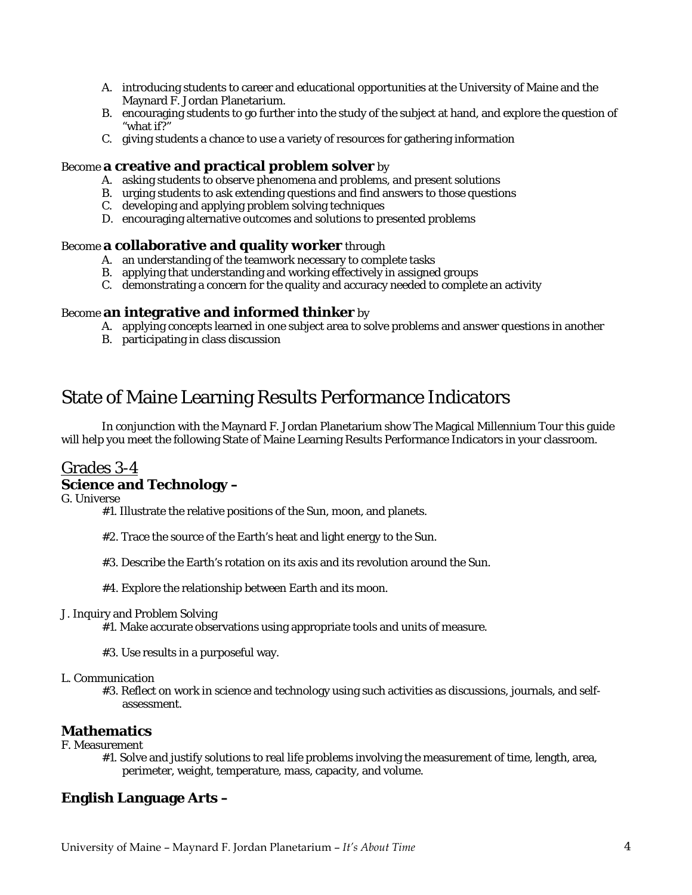- A. introducing students to career and educational opportunities at the University of Maine and the Maynard F. Jordan Planetarium.
- B. encouraging students to go further into the study of the subject at hand, and explore the question of "what if?"
- C. giving students a chance to use a variety of resources for gathering information

## Become **a creative and practical problem solver** by

- A. asking students to observe phenomena and problems, and present solutions
- B. urging students to ask extending questions and find answers to those questions
- C. developing and applying problem solving techniques
- D. encouraging alternative outcomes and solutions to presented problems

#### Become **a collaborative and quality worker** through

- A. an understanding of the teamwork necessary to complete tasks
- B. applying that understanding and working effectively in assigned groups
- C. demonstrating a concern for the quality and accuracy needed to complete an activity

## Become **an integrative and informed thinker** by

- A. applying concepts learned in one subject area to solve problems and answer questions in another
- B. participating in class discussion

# State of Maine Learning Results Performance Indicators

 In conjunction with the Maynard F. Jordan Planetarium show The Magical Millennium Tour this guide will help you meet the following State of Maine Learning Results Performance Indicators in your classroom.

# Grades 3-4

## **Science and Technology –**

G. Universe

#1. Illustrate the relative positions of the Sun, moon, and planets.

- #2. Trace the source of the Earth's heat and light energy to the Sun.
- #3. Describe the Earth's rotation on its axis and its revolution around the Sun.
- #4. Explore the relationship between Earth and its moon.

#### J. Inquiry and Problem Solving

#1. Make accurate observations using appropriate tools and units of measure.

#3. Use results in a purposeful way.

#### L. Communication

#3. Reflect on work in science and technology using such activities as discussions, journals, and selfassessment.

## **Mathematics**

- F. Measurement
	- #1. Solve and justify solutions to real life problems involving the measurement of time, length, area, perimeter, weight, temperature, mass, capacity, and volume.

## **English Language Arts –**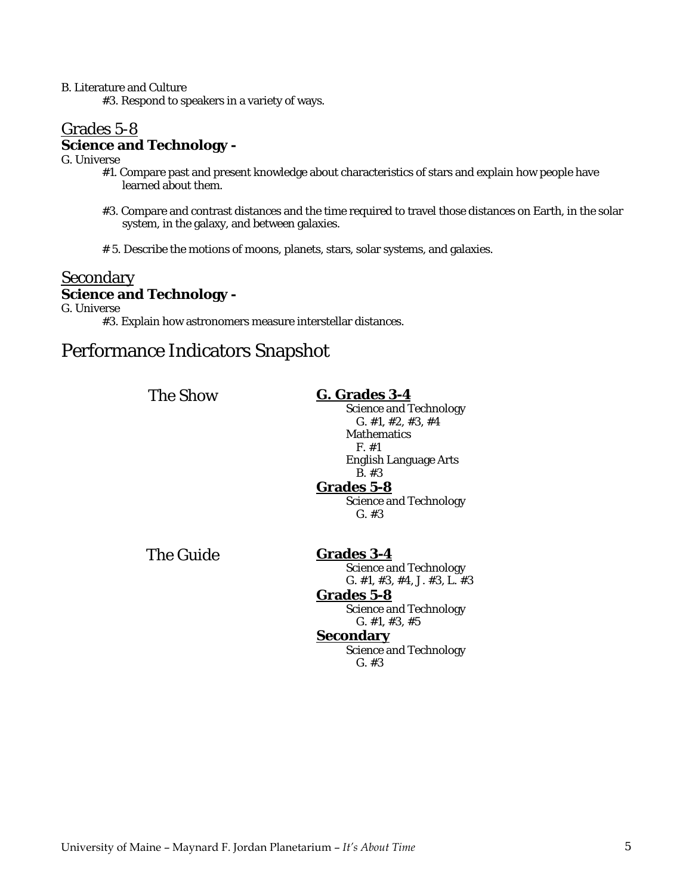B. Literature and Culture

#3. Respond to speakers in a variety of ways.

# Grades 5-8 **Science and Technology -**

G. Universe

- #1. Compare past and present knowledge about characteristics of stars and explain how people have learned about them.
- #3. Compare and contrast distances and the time required to travel those distances on Earth, in the solar system, in the galaxy, and between galaxies.
- # 5. Describe the motions of moons, planets, stars, solar systems, and galaxies.

# Secondary **Science and Technology -**

G. Universe

#3. Explain how astronomers measure interstellar distances.

# Performance Indicators Snapshot

| <b>The Show</b>  | G. Grades 3-4<br><b>Science and Technology</b><br>G. #1, #2, #3, #4<br><b>Mathematics</b><br>F. #1<br>English Language Arts                                                                                           |
|------------------|-----------------------------------------------------------------------------------------------------------------------------------------------------------------------------------------------------------------------|
|                  | $B. \#3$<br><b>Grades 5-8</b><br><b>Science and Technology</b><br>$G. \#3$                                                                                                                                            |
| <b>The Guide</b> | <b>Grades 3-4</b><br><b>Science and Technology</b><br>G. #1, #3, #4, J. #3, L. #3<br><b>Grades 5-8</b><br><b>Science and Technology</b><br>G. #1, #3, #5<br><b>Secondary</b><br><b>Science and Technology</b><br>G.#3 |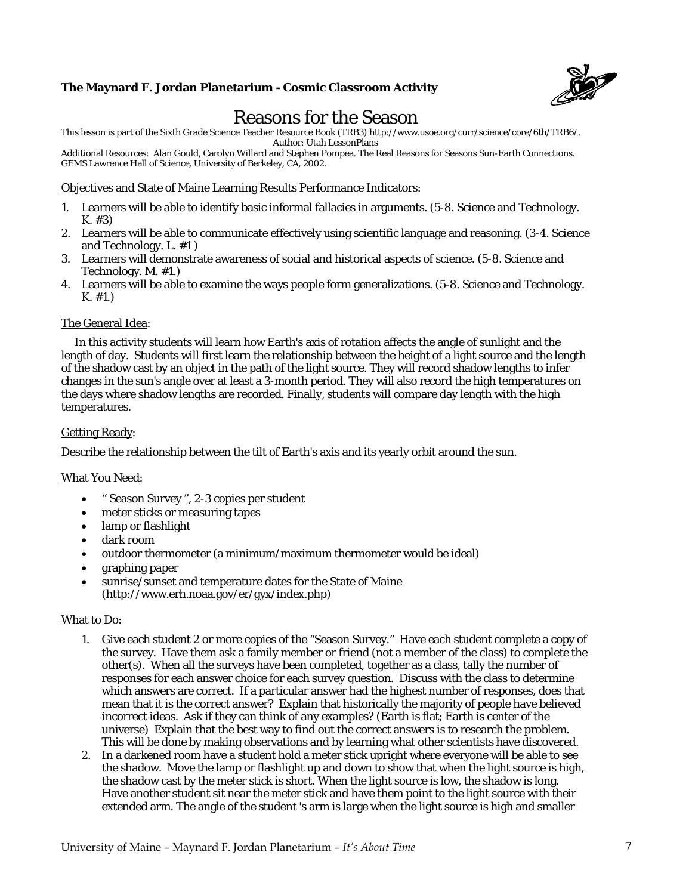

# Reasons for the Season

This lesson is part of the Sixth Grade Science Teacher Resource Book (TRB3) http://www.usoe.org/curr/science/core/6th/TRB6/.

Author: Utah LessonPlans

Additional Resources: Alan Gould, Carolyn Willard and Stephen Pompea. The Real Reasons for Seasons Sun-Earth Connections. GEMS Lawrence Hall of Science, University of Berkeley, CA, 2002.

#### Objectives and State of Maine Learning Results Performance Indicators:

- 1. Learners will be able to identify basic informal fallacies in arguments. (5-8. Science and Technology. K. #3)
- 2. Learners will be able to communicate effectively using scientific language and reasoning. (3-4. Science and Technology. L. #1 )
- 3. Learners will demonstrate awareness of social and historical aspects of science. (5-8. Science and Technology. M. #1.)
- 4. Learners will be able to examine the ways people form generalizations. (5-8. Science and Technology. K. #1.)

#### The General Idea:

 In this activity students will learn how Earth's axis of rotation affects the angle of sunlight and the length of day. Students will first learn the relationship between the height of a light source and the length of the shadow cast by an object in the path of the light source. They will record shadow lengths to infer changes in the sun's angle over at least a 3-month period. They will also record the high temperatures on the days where shadow lengths are recorded. Finally, students will compare day length with the high temperatures.

#### Getting Ready:

Describe the relationship between the tilt of Earth's axis and its yearly orbit around the sun.

#### What You Need:

- " Season Survey ", 2-3 copies per student
- meter sticks or measuring tapes
- lamp or flashlight
- dark room
- outdoor thermometer (a minimum/maximum thermometer would be ideal)
- graphing paper
- sunrise/sunset and temperature dates for the State of Maine (http://www.erh.noaa.gov/er/gyx/index.php)

#### What to Do:

- 1. Give each student 2 or more copies of the "Season Survey." Have each student complete a copy of the survey. Have them ask a family member or friend (not a member of the class) to complete the other(s). When all the surveys have been completed, together as a class, tally the number of responses for each answer choice for each survey question. Discuss with the class to determine which answers are correct. If a particular answer had the highest number of responses, does that mean that it is the correct answer? Explain that historically the majority of people have believed incorrect ideas. Ask if they can think of any examples? (Earth is flat; Earth is center of the universe) Explain that the best way to find out the correct answers is to research the problem. This will be done by making observations and by learning what other scientists have discovered.
- 2. In a darkened room have a student hold a meter stick upright where everyone will be able to see the shadow. Move the lamp or flashlight up and down to show that when the light source is high, the shadow cast by the meter stick is short. When the light source is low, the shadow is long. Have another student sit near the meter stick and have them point to the light source with their extended arm. The angle of the student 's arm is large when the light source is high and smaller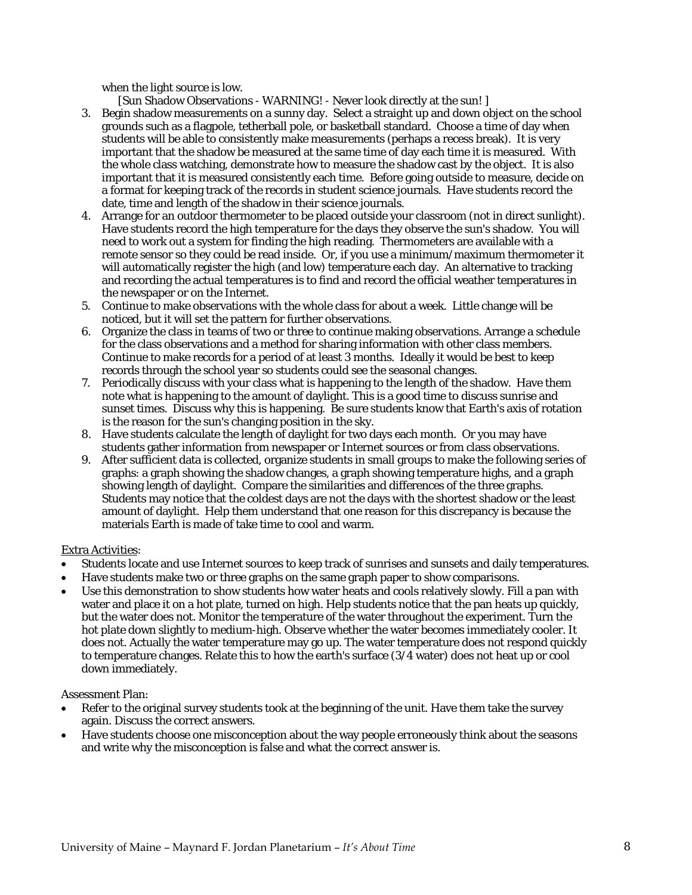when the light source is low.

[Sun Shadow Observations - WARNING! - Never look directly at the sun! ]

- 3. Begin shadow measurements on a sunny day. Select a straight up and down object on the school grounds such as a flagpole, tetherball pole, or basketball standard. Choose a time of day when students will be able to consistently make measurements (perhaps a recess break). It is very important that the shadow be measured at the same time of day each time it is measured. With the whole class watching, demonstrate how to measure the shadow cast by the object. It is also important that it is measured consistently each time. Before going outside to measure, decide on a format for keeping track of the records in student science journals. Have students record the date, time and length of the shadow in their science journals.
- 4. Arrange for an outdoor thermometer to be placed outside your classroom (not in direct sunlight). Have students record the high temperature for the days they observe the sun's shadow. You will need to work out a system for finding the high reading. Thermometers are available with a remote sensor so they could be read inside. Or, if you use a minimum/maximum thermometer it will automatically register the high (and low) temperature each day. An alternative to tracking and recording the actual temperatures is to find and record the official weather temperatures in the newspaper or on the Internet.
- 5. Continue to make observations with the whole class for about a week. Little change will be noticed, but it will set the pattern for further observations.
- 6. Organize the class in teams of two or three to continue making observations. Arrange a schedule for the class observations and a method for sharing information with other class members. Continue to make records for a period of at least 3 months. Ideally it would be best to keep records through the school year so students could see the seasonal changes.
- 7. Periodically discuss with your class what is happening to the length of the shadow. Have them note what is happening to the amount of daylight. This is a good time to discuss sunrise and sunset times. Discuss why this is happening. Be sure students know that Earth's axis of rotation is the reason for the sun's changing position in the sky.
- 8. Have students calculate the length of daylight for two days each month. Or you may have students gather information from newspaper or Internet sources or from class observations.
- 9. After sufficient data is collected, organize students in small groups to make the following series of graphs: a graph showing the shadow changes, a graph showing temperature highs, and a graph showing length of daylight. Compare the similarities and differences of the three graphs. Students may notice that the coldest days are not the days with the shortest shadow or the least amount of daylight. Help them understand that one reason for this discrepancy is because the materials Earth is made of take time to cool and warm.

#### Extra Activities:

- Students locate and use Internet sources to keep track of sunrises and sunsets and daily temperatures.
- Have students make two or three graphs on the same graph paper to show comparisons.
- Use this demonstration to show students how water heats and cools relatively slowly. Fill a pan with water and place it on a hot plate, turned on high. Help students notice that the pan heats up quickly, but the water does not. Monitor the temperature of the water throughout the experiment. Turn the hot plate down slightly to medium-high. Observe whether the water becomes immediately cooler. It does not. Actually the water temperature may go up. The water temperature does not respond quickly to temperature changes. Relate this to how the earth's surface (3/4 water) does not heat up or cool down immediately.

Assessment Plan:

- Refer to the original survey students took at the beginning of the unit. Have them take the survey again. Discuss the correct answers.
- Have students choose one misconception about the way people erroneously think about the seasons and write why the misconception is false and what the correct answer is.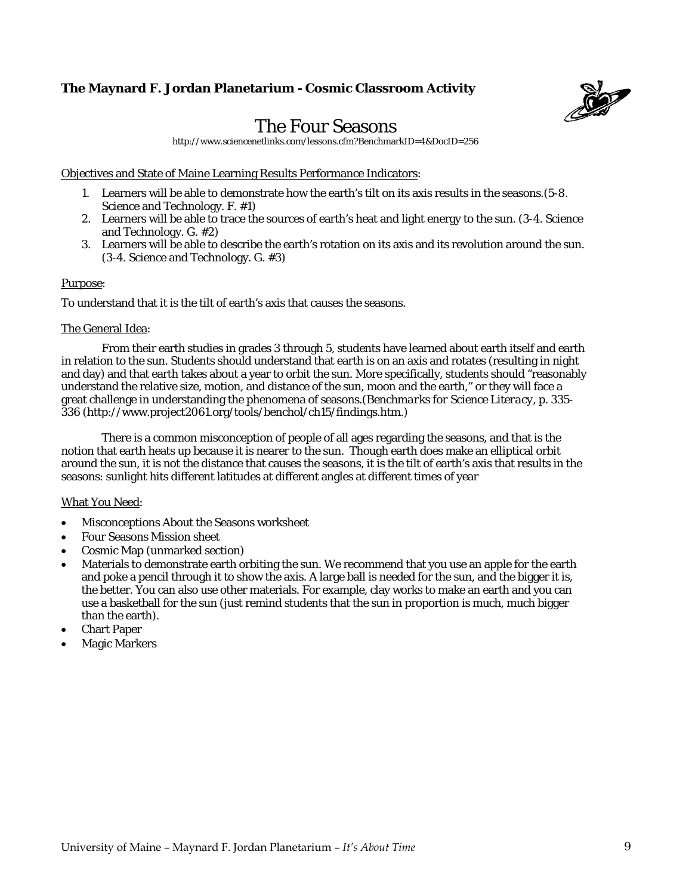

# The Four Seasons

http://www.sciencenetlinks.com/lessons.cfm?BenchmarkID=4&DocID=256

Objectives and State of Maine Learning Results Performance Indicators:

- 1. Learners will be able to demonstrate how the earth's tilt on its axis results in the seasons.(5-8. Science and Technology. F. #1)
- 2. Learners will be able to trace the sources of earth's heat and light energy to the sun. (3-4. Science and Technology. G. #2)
- 3. Learners will be able to describe the earth's rotation on its axis and its revolution around the sun. (3-4. Science and Technology. G. #3)

#### Purpose:

To understand that it is the tilt of earth's axis that causes the seasons.

#### The General Idea:

From their earth studies in grades 3 through 5, students have learned about earth itself and earth in relation to the sun. Students should understand that earth is on an axis and rotates (resulting in night and day) and that earth takes about a year to orbit the sun. More specifically, students should "reasonably understand the relative size, motion, and distance of the sun, moon and the earth," or they will face a great challenge in understanding the phenomena of seasons.(*Benchmarks for Science Literacy,* p. 335- 336 (http://www.project2061.org/tools/benchol/ch15/findings.htm.)

 There is a common misconception of people of all ages regarding the seasons, and that is the notion that earth heats up because it is nearer to the sun. Though earth does make an elliptical orbit around the sun, it is not the distance that causes the seasons, it is the tilt of earth's axis that results in the seasons: sunlight hits different latitudes at different angles at different times of year

#### What You Need:

- Misconceptions About the Seasons worksheet
- Four Seasons Mission sheet
- Cosmic Map (unmarked section)
- Materials to demonstrate earth orbiting the sun. We recommend that you use an apple for the earth and poke a pencil through it to show the axis. A large ball is needed for the sun, and the bigger it is, the better. You can also use other materials. For example, clay works to make an earth and you can use a basketball for the sun (just remind students that the sun in proportion is much, much bigger than the earth).
- Chart Paper
- Magic Markers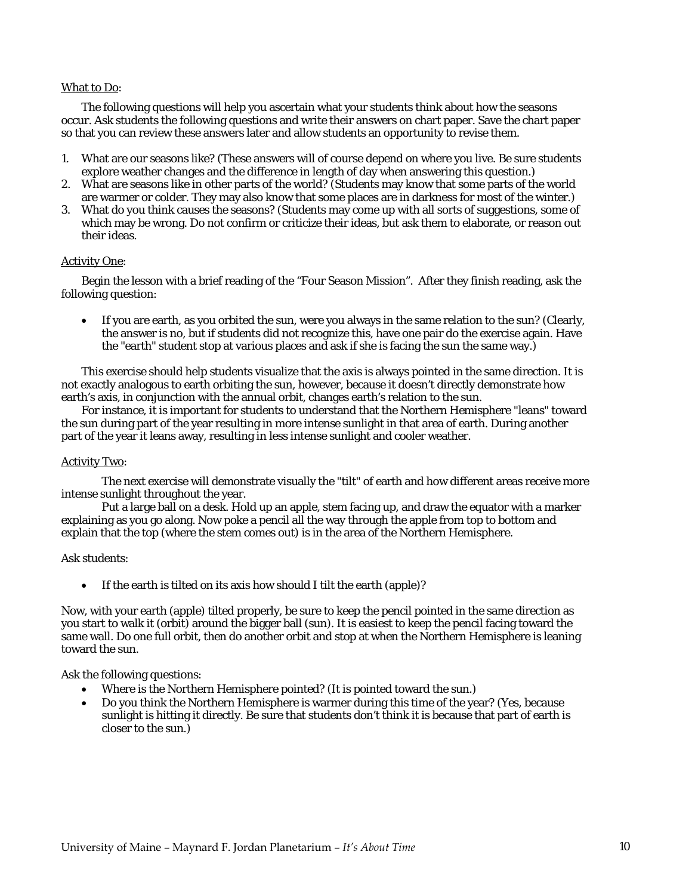#### What to Do:

The following questions will help you ascertain what your students think about how the seasons occur. Ask students the following questions and write their answers on chart paper. Save the chart paper so that you can review these answers later and allow students an opportunity to revise them.

- 1. What are our seasons like? (These answers will of course depend on where you live. Be sure students explore weather changes and the difference in length of day when answering this question.)
- 2. What are seasons like in other parts of the world? (Students may know that some parts of the world are warmer or colder. They may also know that some places are in darkness for most of the winter.)
- 3. What do you think causes the seasons? (Students may come up with all sorts of suggestions, some of which may be wrong. Do not confirm or criticize their ideas, but ask them to elaborate, or reason out their ideas.

#### Activity One:

Begin the lesson with a brief reading of the "Four Season Mission". After they finish reading, ask the following question:

 If you are earth, as you orbited the sun, were you always in the same relation to the sun? (Clearly, the answer is no, but if students did not recognize this, have one pair do the exercise again. Have the "earth" student stop at various places and ask if she is facing the sun the same way.)

This exercise should help students visualize that the axis is always pointed in the same direction. It is not exactly analogous to earth orbiting the sun, however, because it doesn't directly demonstrate how earth's axis, in conjunction with the annual orbit, changes earth's relation to the sun.

For instance, it is important for students to understand that the Northern Hemisphere "leans" toward the sun during part of the year resulting in more intense sunlight in that area of earth. During another part of the year it leans away, resulting in less intense sunlight and cooler weather.

#### Activity Two:

The next exercise will demonstrate visually the "tilt" of earth and how different areas receive more intense sunlight throughout the year.

Put a large ball on a desk. Hold up an apple, stem facing up, and draw the equator with a marker explaining as you go along. Now poke a pencil all the way through the apple from top to bottom and explain that the top (where the stem comes out) is in the area of the Northern Hemisphere.

#### Ask students:

If the earth is tilted on its axis how should I tilt the earth (apple)?

Now, with your earth (apple) tilted properly, be sure to keep the pencil pointed in the same direction as you start to walk it (orbit) around the bigger ball (sun). It is easiest to keep the pencil facing toward the same wall. Do one full orbit, then do another orbit and stop at when the Northern Hemisphere is leaning toward the sun.

Ask the following questions:

- Where is the Northern Hemisphere pointed? (It is pointed toward the sun.)
- Do you think the Northern Hemisphere is warmer during this time of the year? (Yes, because sunlight is hitting it directly. Be sure that students don't think it is because that part of earth is closer to the sun.)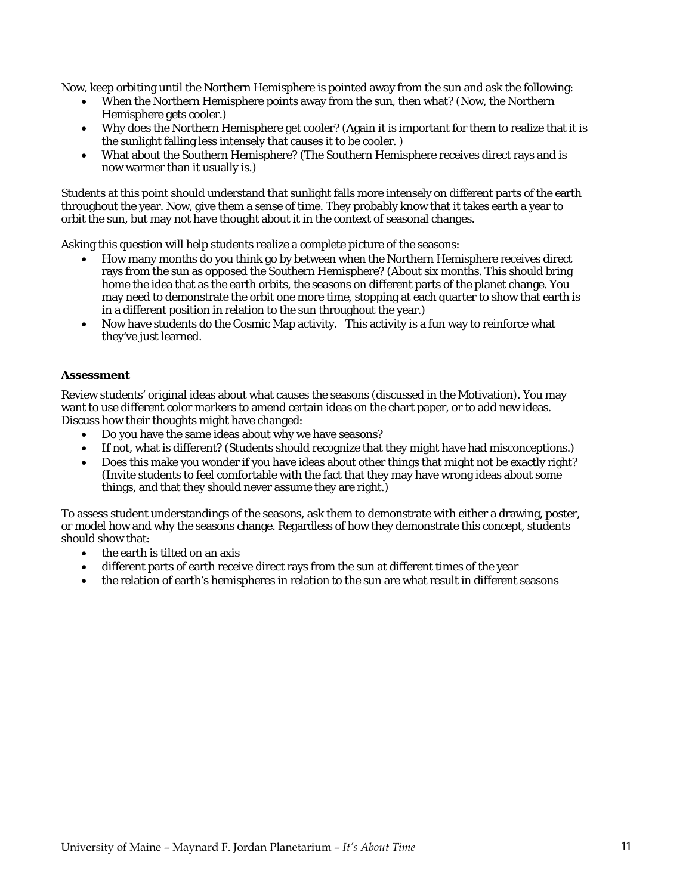Now, keep orbiting until the Northern Hemisphere is pointed away from the sun and ask the following:

- When the Northern Hemisphere points away from the sun, then what? (Now, the Northern Hemisphere gets cooler.)
- Why does the Northern Hemisphere get cooler? (Again it is important for them to realize that it is the sunlight falling less intensely that causes it to be cooler. )
- What about the Southern Hemisphere? (The Southern Hemisphere receives direct rays and is now warmer than it usually is.)

Students at this point should understand that sunlight falls more intensely on different parts of the earth throughout the year. Now, give them a sense of time. They probably know that it takes earth a year to orbit the sun, but may not have thought about it in the context of seasonal changes.

Asking this question will help students realize a complete picture of the seasons:

- How many months do you think go by between when the Northern Hemisphere receives direct rays from the sun as opposed the Southern Hemisphere? (About six months. This should bring home the idea that as the earth orbits, the seasons on different parts of the planet change. You may need to demonstrate the orbit one more time, stopping at each quarter to show that earth is in a different position in relation to the sun throughout the year.)
- Now have students do the Cosmic Map activity. This activity is a fun way to reinforce what they've just learned.

#### **Assessment**

Review students' original ideas about what causes the seasons (discussed in the Motivation). You may want to use different color markers to amend certain ideas on the chart paper, or to add new ideas. Discuss how their thoughts might have changed:

- Do you have the same ideas about why we have seasons?
- If not, what is different? (Students should recognize that they might have had misconceptions.)
- Does this make you wonder if you have ideas about other things that might not be exactly right? (Invite students to feel comfortable with the fact that they may have wrong ideas about some things, and that they should never assume they are right.)

To assess student understandings of the seasons, ask them to demonstrate with either a drawing, poster, or model how and why the seasons change. Regardless of how they demonstrate this concept, students should show that:

- the earth is tilted on an axis
- different parts of earth receive direct rays from the sun at different times of the year
- the relation of earth's hemispheres in relation to the sun are what result in different seasons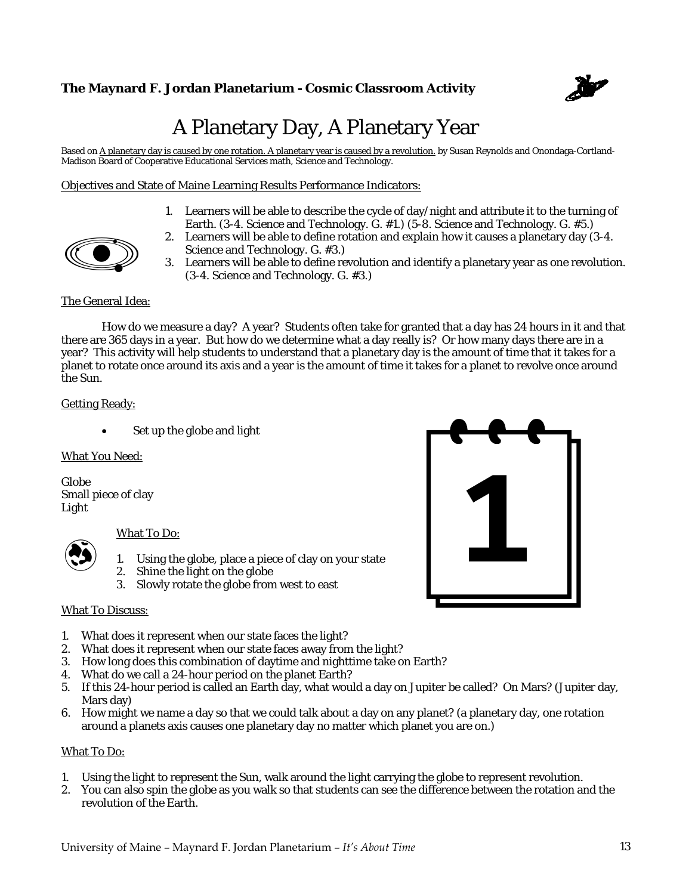

# A Planetary Day, A Planetary Year

Based on A planetary day is caused by one rotation. A planetary year is caused by a revolution, by Susan Reynolds and Onondaga-Cortland-Madison Board of Cooperative Educational Services math, Science and Technology.

Objectives and State of Maine Learning Results Performance Indicators:



- 1. Learners will be able to describe the cycle of day/night and attribute it to the turning of Earth. (3-4. Science and Technology. G. #1.) (5-8. Science and Technology. G. #5.)
- 2. Learners will be able to define rotation and explain how it causes a planetary day (3-4. Science and Technology. G. #3.)
- 3. Learners will be able to define revolution and identify a planetary year as one revolution. (3-4. Science and Technology. G. #3.)

## The General Idea:

 How do we measure a day? A year? Students often take for granted that a day has 24 hours in it and that there are 365 days in a year. But how do we determine what a day really is? Or how many days there are in a year? This activity will help students to understand that a planetary day is the amount of time that it takes for a planet to rotate once around its axis and a year is the amount of time it takes for a planet to revolve once around the Sun.

#### Getting Ready:

Set up the globe and light

What You Need:

Globe Small piece of clay Light



#### What To Do:

- 1. Using the globe, place a piece of clay on your state
- 2. Shine the light on the globe
- 3. Slowly rotate the globe from west to east

#### What To Discuss:

- 1. What does it represent when our state faces the light?
- 2. What does it represent when our state faces away from the light?
- 3. How long does this combination of daytime and nighttime take on Earth?
- 4. What do we call a 24-hour period on the planet Earth?
- 5. If this 24-hour period is called an Earth day, what would a day on Jupiter be called? On Mars? (Jupiter day, Mars day)
- 6. How might we name a day so that we could talk about a day on any planet? (a planetary day, one rotation around a planets axis causes one planetary day no matter which planet you are on.)

#### What To Do:

- 1. Using the light to represent the Sun, walk around the light carrying the globe to represent revolution.
- 2. You can also spin the globe as you walk so that students can see the difference between the rotation and the revolution of the Earth.

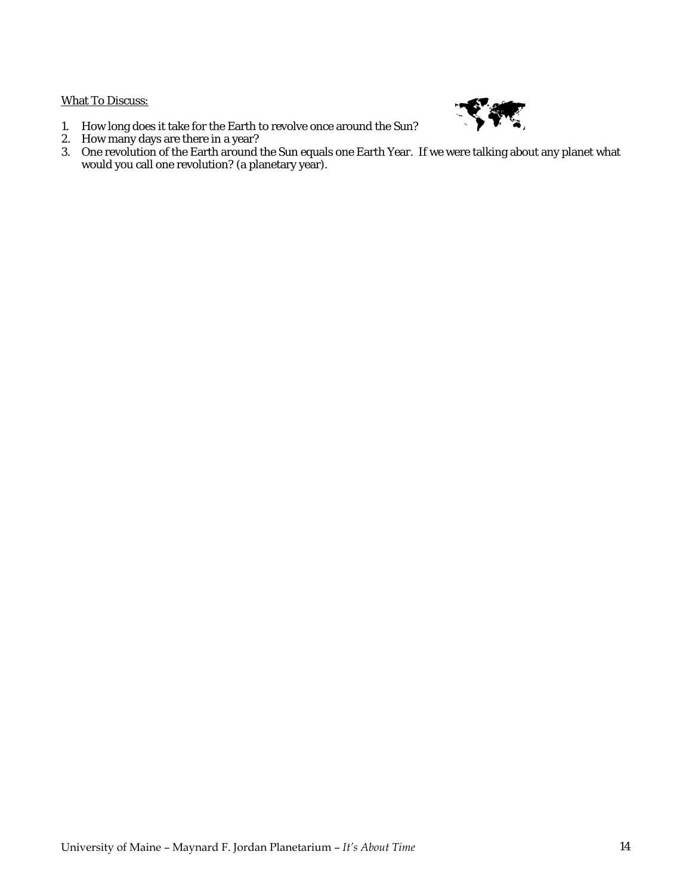## What To Discuss:



- 1. How long does it take for the Earth to revolve once around the Sun?
- 2. How many days are there in a year?
- 3. One revolution of the Earth around the Sun equals one Earth Year. If we were talking about any planet what would you call one revolution? (a planetary year).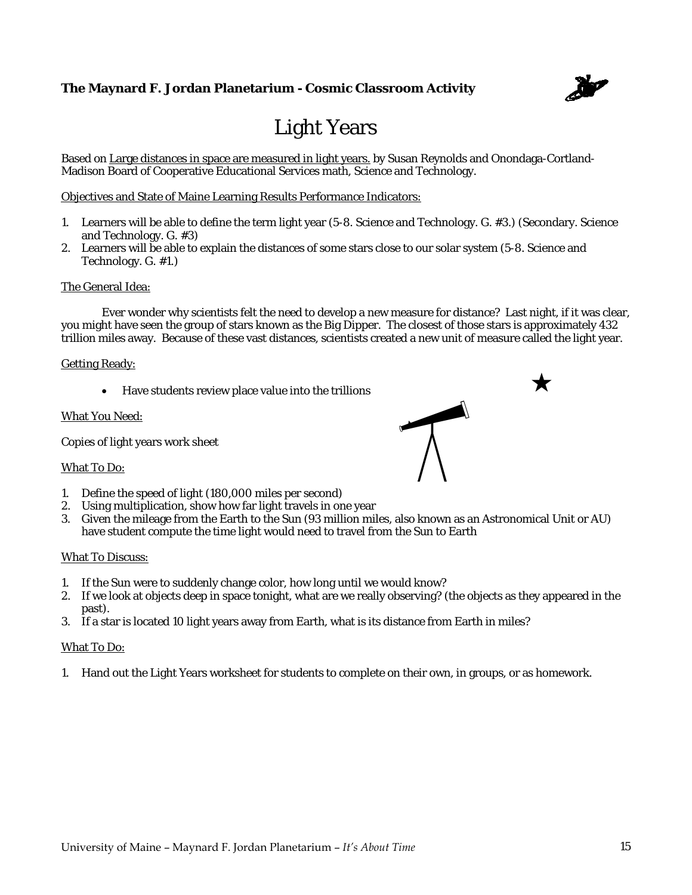

 $\star$ 

# Light Years

Based on Large distances in space are measured in light years. by Susan Reynolds and Onondaga-Cortland-Madison Board of Cooperative Educational Services math, Science and Technology.

Objectives and State of Maine Learning Results Performance Indicators:

- 1. Learners will be able to define the term light year (5-8. Science and Technology. G. #3.) (Secondary. Science and Technology. G. #3)
- 2. Learners will be able to explain the distances of some stars close to our solar system (5-8. Science and Technology. G. #1.)

#### The General Idea:

 Ever wonder why scientists felt the need to develop a new measure for distance? Last night, if it was clear, you might have seen the group of stars known as the Big Dipper. The closest of those stars is approximately 432 trillion miles away. Because of these vast distances, scientists created a new unit of measure called the light year.

#### Getting Ready:

Have students review place value into the trillions

#### What You Need:

Copies of light years work sheet

#### What To Do:

- 1. Define the speed of light (180,000 miles per second)
- 2. Using multiplication, show how far light travels in one year
- 3. Given the mileage from the Earth to the Sun (93 million miles, also known as an Astronomical Unit or AU) have student compute the time light would need to travel from the Sun to Earth

#### What To Discuss:

- 1. If the Sun were to suddenly change color, how long until we would know?
- 2. If we look at objects deep in space tonight, what are we really observing? (the objects as they appeared in the past).
- 3. If a star is located 10 light years away from Earth, what is its distance from Earth in miles?

#### What To Do:

1. Hand out the Light Years worksheet for students to complete on their own, in groups, or as homework.

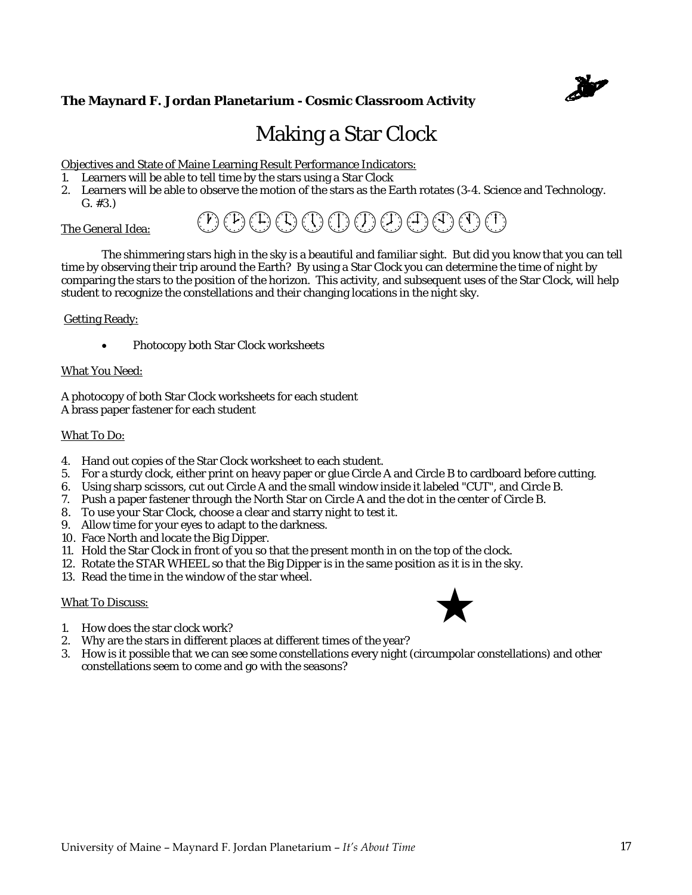

# Making a Star Clock

Objectives and State of Maine Learning Result Performance Indicators:

- 1. Learners will be able to tell time by the stars using a Star Clock
- 2. Learners will be able to observe the motion of the stars as the Earth rotates (3-4. Science and Technology. G. #3.)

#### The General Idea:

 The shimmering stars high in the sky is a beautiful and familiar sight. But did you know that you can tell time by observing their trip around the Earth? By using a Star Clock you can determine the time of night by comparing the stars to the position of the horizon. This activity, and subsequent uses of the Star Clock, will help student to recognize the constellations and their changing locations in the night sky.

 $(P(P) \oplus Q) \oplus (P) \oplus (P) \oplus Q) \oplus (P) \oplus (P) \oplus Q$ 

#### Getting Ready:

• Photocopy both Star Clock worksheets

#### What You Need:

A photocopy of both Star Clock worksheets for each student A brass paper fastener for each student

#### What To Do:

- 4. Hand out copies of the Star Clock worksheet to each student.
- 5. For a sturdy clock, either print on heavy paper or glue Circle A and Circle B to cardboard before cutting.
- 6. Using sharp scissors, cut out Circle A and the small window inside it labeled "CUT", and Circle B.
- 7. Push a paper fastener through the North Star on Circle A and the dot in the center of Circle B.
- 8. To use your Star Clock, choose a clear and starry night to test it.
- 9. Allow time for your eyes to adapt to the darkness.
- 10. Face North and locate the Big Dipper.
- 11. Hold the Star Clock in front of you so that the present month in on the top of the clock.
- 12. Rotate the STAR WHEEL so that the Big Dipper is in the same position as it is in the sky.
- 13. Read the time in the window of the star wheel.

#### What To Discuss:



- 1. How does the star clock work?
- 2. Why are the stars in different places at different times of the year?
- 3. How is it possible that we can see some constellations every night (circumpolar constellations) and other constellations seem to come and go with the seasons?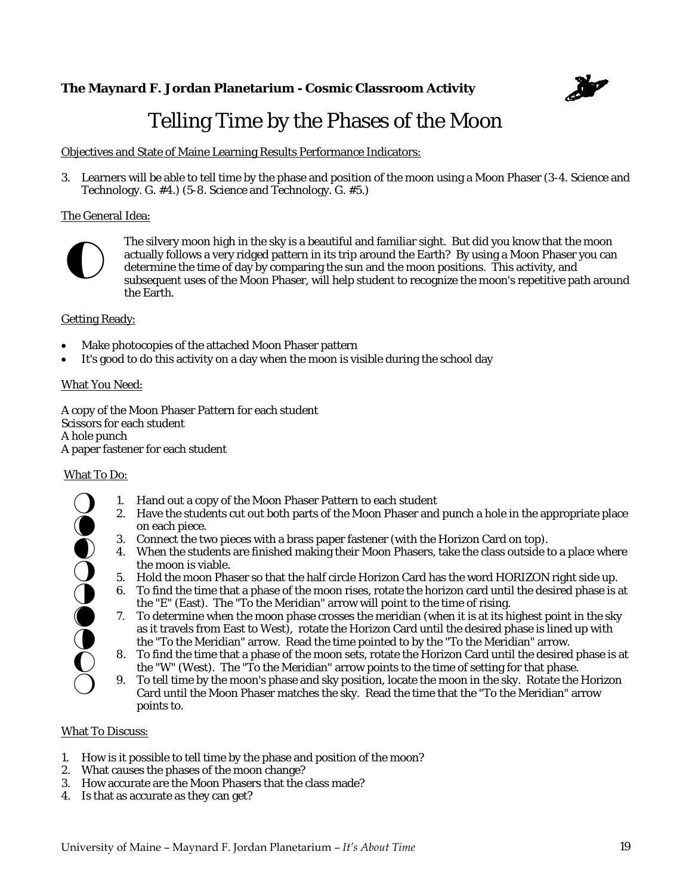

# Telling Time by the Phases of the Moon

Objectives and State of Maine Learning Results Performance Indicators:

3. Learners will be able to tell time by the phase and position of the moon using a Moon Phaser (3-4. Science and Technology. G. #4.) (5-8. Science and Technology. G. #5.)

### The General Idea:



The silvery moon high in the sky is a beautiful and familiar sight. But did you know that the moon actually follows a very ridged pattern in its trip around the Earth? By using a Moon Phaser you can determine the time of day by comparing the sun and the moon positions. This activity, and subsequent uses of the Moon Phaser, will help student to recognize the moon's repetitive path around the Earth.

#### Getting Ready:

- Make photocopies of the attached Moon Phaser pattern
- It's good to do this activity on a day when the moon is visible during the school day

#### What You Need:

A copy of the Moon Phaser Pattern for each student Scissors for each student A hole punch A paper fastener for each student

#### What To Do:

- 1. Hand out a copy of the Moon Phaser Pattern to each student 2. Have the students cut out both parts of the Moon Phaser and punch a hole in the appropriate place on each piece.  $\bigcirc$  $\bigcirc$ 
	- 3. Connect the two pieces with a brass paper fastener (with the Horizon Card on top).
- 4. When the students are finished making their Moon Phasers, take the class outside to a place where the moon is viable.  $\bullet$
- 5. Hold the moon Phaser so that the half circle Horizon Card has the word HORIZON right side up.  $O$  :
- 6. To find the time that a phase of the moon rises, rotate the horizon card until the desired phase is at the "E" (East). The "To the Meridian" arrow will point to the time of rising.  $\bigcirc$
- 7. To determine when the moon phase crosses the meridian (when it is at its highest point in the sky as it travels from East to West), rotate the Horizon Card until the desired phase is lined up with the "To the Meridian" arrow. Read the time pointed to by the "To the Meridian" arrow.  $\bullet$  $\bullet$
- 8. To find the time that a phase of the moon sets, rotate the Horizon Card until the desired phase is at the "W" (West). The "To the Meridian" arrow points to the time of setting for that phase.  $\mathbf{O}$ 
	- 9. To tell time by the moon's phase and sky position, locate the moon in the sky. Rotate the Horizon Card until the Moon Phaser matches the sky. Read the time that the "To the Meridian" arrow points to.

#### What To Discuss:

 $\bigcirc$ 

- 1. How is it possible to tell time by the phase and position of the moon?
- 2. What causes the phases of the moon change?
- 3. How accurate are the Moon Phasers that the class made?
- 4. Is that as accurate as they can get?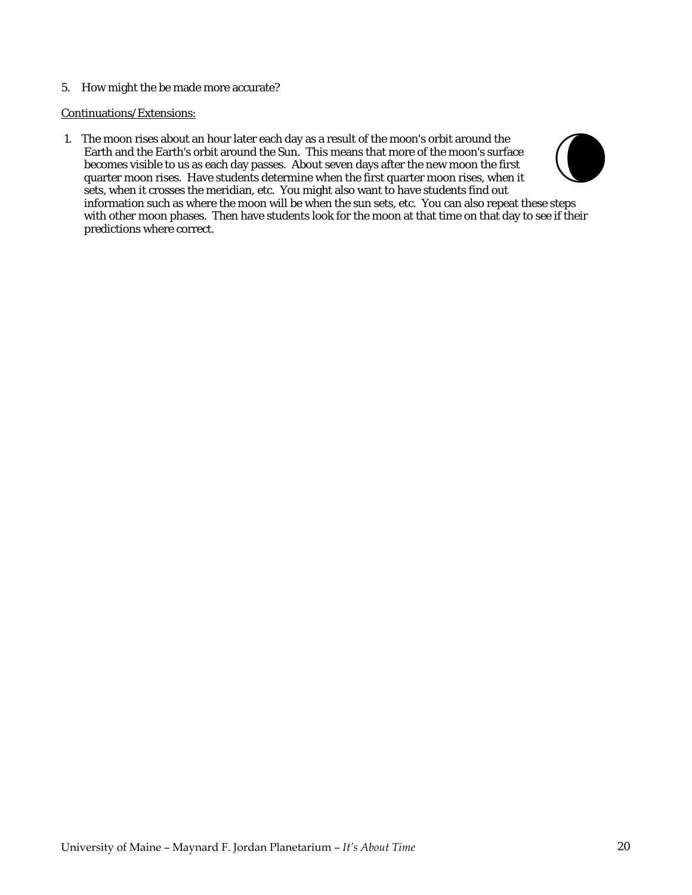5. How might the be made more accurate?

#### Continuations/Extensions:

1. The moon rises about an hour later each day as a result of the moon's orbit around the Earth and the Earth's orbit around the Sun. This means that more of the moon's surface becomes visible to us as each day passes. About seven days after the new moon the first quarter moon rises. Have students determine when the first quarter moon rises, when it sets, when it crosses the meridian, etc. You might also want to have students find out information such as where the moon will be when the sun sets, etc. You can also repeat these steps with other moon phases. Then have students look for the moon at that time on that day to see if their predictions where correct.  $\bigodot$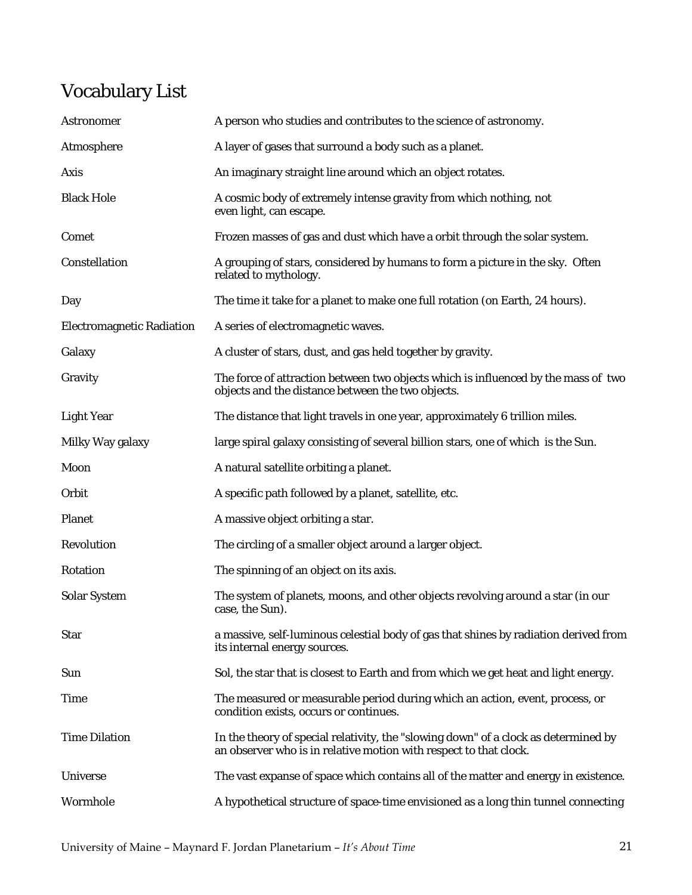# Vocabulary List

| Astronomer                       | A person who studies and contributes to the science of astronomy.                                                                                        |
|----------------------------------|----------------------------------------------------------------------------------------------------------------------------------------------------------|
| Atmosphere                       | A layer of gases that surround a body such as a planet.                                                                                                  |
| Axis                             | An imaginary straight line around which an object rotates.                                                                                               |
| <b>Black Hole</b>                | A cosmic body of extremely intense gravity from which nothing, not<br>even light, can escape.                                                            |
| Comet                            | Frozen masses of gas and dust which have a orbit through the solar system.                                                                               |
| Constellation                    | A grouping of stars, considered by humans to form a picture in the sky. Often<br>related to mythology.                                                   |
| Day                              | The time it take for a planet to make one full rotation (on Earth, 24 hours).                                                                            |
| <b>Electromagnetic Radiation</b> | A series of electromagnetic waves.                                                                                                                       |
| Galaxy                           | A cluster of stars, dust, and gas held together by gravity.                                                                                              |
| Gravity                          | The force of attraction between two objects which is influenced by the mass of two<br>objects and the distance between the two objects.                  |
| <b>Light Year</b>                | The distance that light travels in one year, approximately 6 trillion miles.                                                                             |
| Milky Way galaxy                 | large spiral galaxy consisting of several billion stars, one of which is the Sun.                                                                        |
| Moon                             | A natural satellite orbiting a planet.                                                                                                                   |
| Orbit                            | A specific path followed by a planet, satellite, etc.                                                                                                    |
| Planet                           | A massive object orbiting a star.                                                                                                                        |
| Revolution                       | The circling of a smaller object around a larger object.                                                                                                 |
| Rotation                         | The spinning of an object on its axis.                                                                                                                   |
| <b>Solar System</b>              | The system of planets, moons, and other objects revolving around a star (in our<br>case, the Sun).                                                       |
| <b>Star</b>                      | a massive, self-luminous celestial body of gas that shines by radiation derived from<br>its internal energy sources.                                     |
| Sun                              | Sol, the star that is closest to Earth and from which we get heat and light energy.                                                                      |
| <b>Time</b>                      | The measured or measurable period during which an action, event, process, or<br>condition exists, occurs or continues.                                   |
| <b>Time Dilation</b>             | In the theory of special relativity, the "slowing down" of a clock as determined by<br>an observer who is in relative motion with respect to that clock. |
| Universe                         | The vast expanse of space which contains all of the matter and energy in existence.                                                                      |
| Wormhole                         | A hypothetical structure of space-time envisioned as a long thin tunnel connecting                                                                       |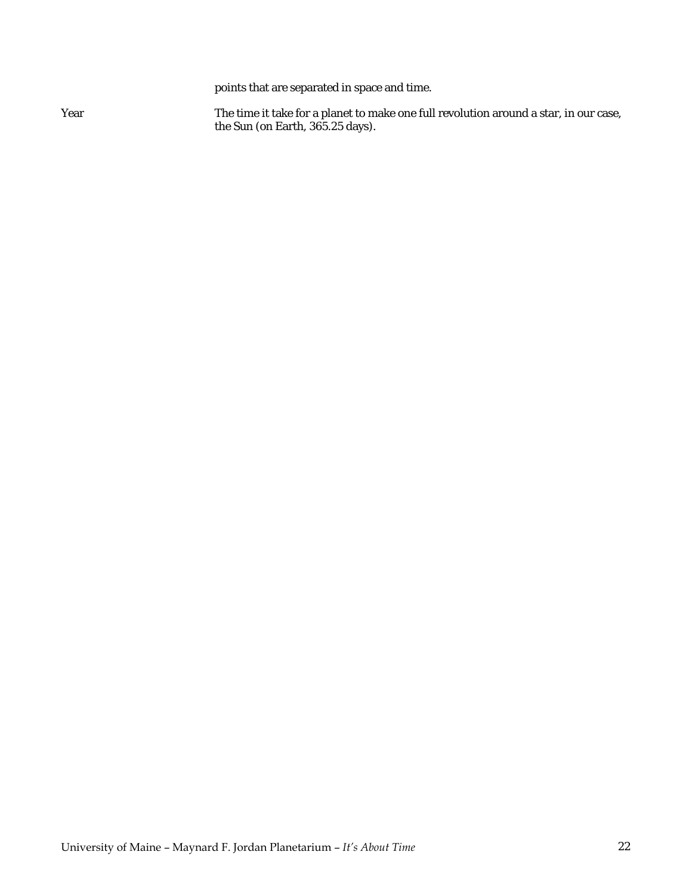points that are separated in space and time.

Year The time it take for a planet to make one full revolution around a star, in our case, the Sun (on Earth, 365.25 days).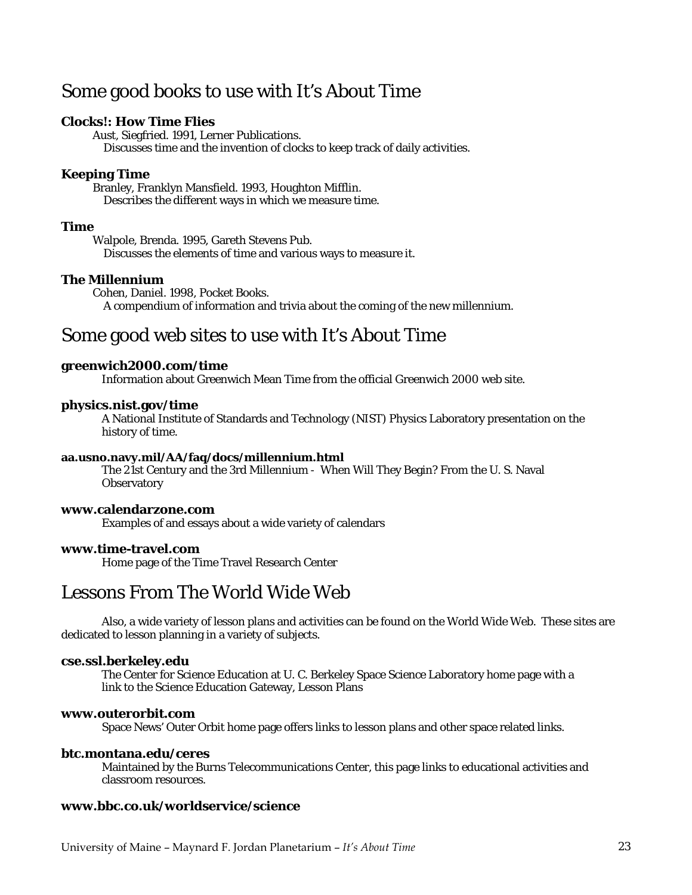# Some good books to use with It's About Time

### **Clocks!: How Time Flies**

 Aust, Siegfried. 1991, Lerner Publications. Discusses time and the invention of clocks to keep track of daily activities.

## **Keeping Time**

 Branley, Franklyn Mansfield. 1993, Houghton Mifflin. Describes the different ways in which we measure time.

## **Time**

 Walpole, Brenda. 1995, Gareth Stevens Pub. Discusses the elements of time and various ways to measure it.

### **The Millennium**

 Cohen, Daniel. 1998, Pocket Books. A compendium of information and trivia about the coming of the new millennium.

# Some good web sites to use with It's About Time

## **greenwich2000.com/time**

Information about Greenwich Mean Time from the official Greenwich 2000 web site.

#### **physics.nist.gov/time**

 A National Institute of Standards and Technology (NIST) Physics Laboratory presentation on the history of time.

#### **aa.usno.navy.mil/AA/faq/docs/millennium.html**

 The 21st Century and the 3rd Millennium - When Will They Begin? From the U. S. Naval **Observatory** 

## **www.calendarzone.com**

Examples of and essays about a wide variety of calendars

#### **www.time-travel.com**

Home page of the Time Travel Research Center

# Lessons From The World Wide Web

 Also, a wide variety of lesson plans and activities can be found on the World Wide Web. These sites are dedicated to lesson planning in a variety of subjects.

#### **cse.ssl.berkeley.edu**

The Center for Science Education at U. C. Berkeley Space Science Laboratory home page with a link to the Science Education Gateway, Lesson Plans

#### **www.outerorbit.com**

Space News' Outer Orbit home page offers links to lesson plans and other space related links.

#### **btc.montana.edu/ceres**

Maintained by the Burns Telecommunications Center, this page links to educational activities and classroom resources.

#### **www.bbc.co.uk/worldservice/science**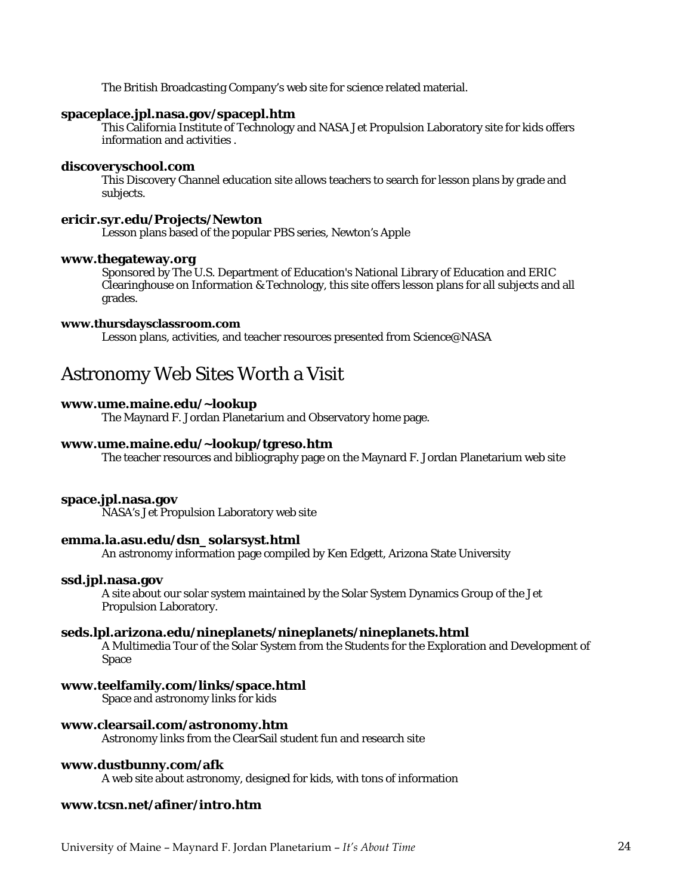The British Broadcasting Company's web site for science related material.

#### **spaceplace.jpl.nasa.gov/spacepl.htm**

This California Institute of Technology and NASA Jet Propulsion Laboratory site for kids offers information and activities .

#### **discoveryschool.com**

This Discovery Channel education site allows teachers to search for lesson plans by grade and subjects.

#### **ericir.syr.edu/Projects/Newton**

Lesson plans based of the popular PBS series, Newton's Apple

#### **www.thegateway.org**

Sponsored by The U.S. Department of Education's National Library of Education and ERIC Clearinghouse on Information & Technology, this site offers lesson plans for all subjects and all grades.

#### **www.thursdaysclassroom.com**

Lesson plans, activities, and teacher resources presented from Science@NASA

# Astronomy Web Sites Worth a Visit

## **www.ume.maine.edu/~lookup**

The Maynard F. Jordan Planetarium and Observatory home page.

#### **www.ume.maine.edu/~lookup/tgreso.htm**

The teacher resources and bibliography page on the Maynard F. Jordan Planetarium web site

#### **space.jpl.nasa.gov**

NASA's Jet Propulsion Laboratory web site

#### **emma.la.asu.edu/dsn\_solarsyst.html**

An astronomy information page compiled by Ken Edgett, Arizona State University

#### **ssd.jpl.nasa.gov**

A site about our solar system maintained by the Solar System Dynamics Group of the Jet Propulsion Laboratory.

#### **seds.lpl.arizona.edu/nineplanets/nineplanets/nineplanets.html**

A Multimedia Tour of the Solar System from the Students for the Exploration and Development of Space

#### **www.teelfamily.com/links/space.html**

Space and astronomy links for kids

#### **www.clearsail.com/astronomy.htm**

Astronomy links from the ClearSail student fun and research site

#### **www.dustbunny.com/afk**

A web site about astronomy, designed for kids, with tons of information

## **www.tcsn.net/afiner/intro.htm**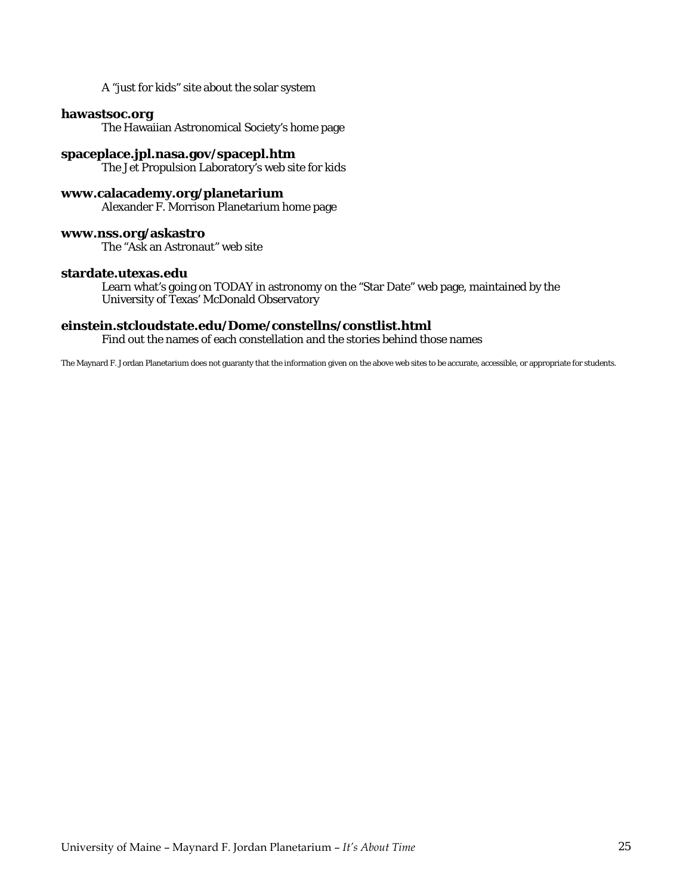A "just for kids" site about the solar system

## **hawastsoc.org**

The Hawaiian Astronomical Society's home page

#### **spaceplace.jpl.nasa.gov/spacepl.htm**

The Jet Propulsion Laboratory's web site for kids

#### **www.calacademy.org/planetarium**

Alexander F. Morrison Planetarium home page

#### **www.nss.org/askastro**

The "Ask an Astronaut" web site

#### **stardate.utexas.edu**

Learn what's going on TODAY in astronomy on the "Star Date" web page, maintained by the University of Texas' McDonald Observatory

#### **einstein.stcloudstate.edu/Dome/constellns/constlist.html**

Find out the names of each constellation and the stories behind those names

The Maynard F. Jordan Planetarium does not guaranty that the information given on the above web sites to be accurate, accessible, or appropriate for students.